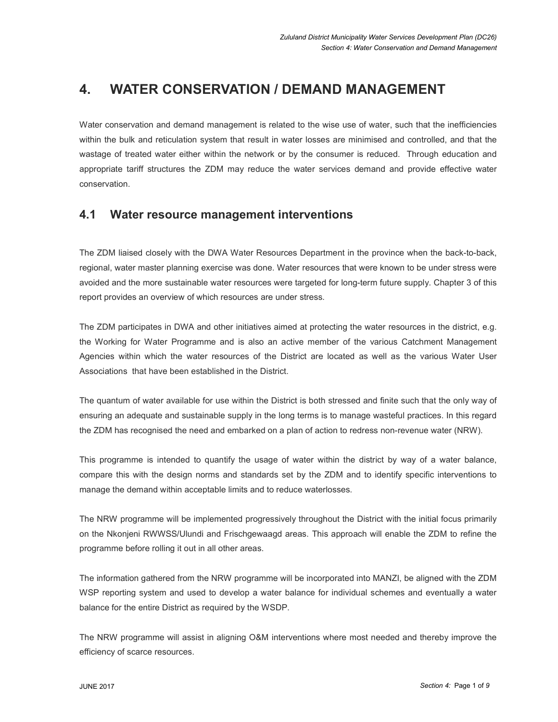# 4. WATER CONSERVATION / DEMAND MANAGEMENT

Water conservation and demand management is related to the wise use of water, such that the inefficiencies within the bulk and reticulation system that result in water losses are minimised and controlled, and that the wastage of treated water either within the network or by the consumer is reduced. Through education and appropriate tariff structures the ZDM may reduce the water services demand and provide effective water conservation.

# 4.1 Water resource management interventions

The ZDM liaised closely with the DWA Water Resources Department in the province when the back-to-back, regional, water master planning exercise was done. Water resources that were known to be under stress were avoided and the more sustainable water resources were targeted for long-term future supply. Chapter 3 of this report provides an overview of which resources are under stress.

The ZDM participates in DWA and other initiatives aimed at protecting the water resources in the district, e.g. the Working for Water Programme and is also an active member of the various Catchment Management Agencies within which the water resources of the District are located as well as the various Water User Associations that have been established in the District.

The quantum of water available for use within the District is both stressed and finite such that the only way of ensuring an adequate and sustainable supply in the long terms is to manage wasteful practices. In this regard the ZDM has recognised the need and embarked on a plan of action to redress non-revenue water (NRW).

This programme is intended to quantify the usage of water within the district by way of a water balance, compare this with the design norms and standards set by the ZDM and to identify specific interventions to manage the demand within acceptable limits and to reduce waterlosses.

The NRW programme will be implemented progressively throughout the District with the initial focus primarily on the Nkonjeni RWWSS/Ulundi and Frischgewaagd areas. This approach will enable the ZDM to refine the programme before rolling it out in all other areas.

The information gathered from the NRW programme will be incorporated into MANZI, be aligned with the ZDM WSP reporting system and used to develop a water balance for individual schemes and eventually a water balance for the entire District as required by the WSDP.

The NRW programme will assist in aligning O&M interventions where most needed and thereby improve the efficiency of scarce resources.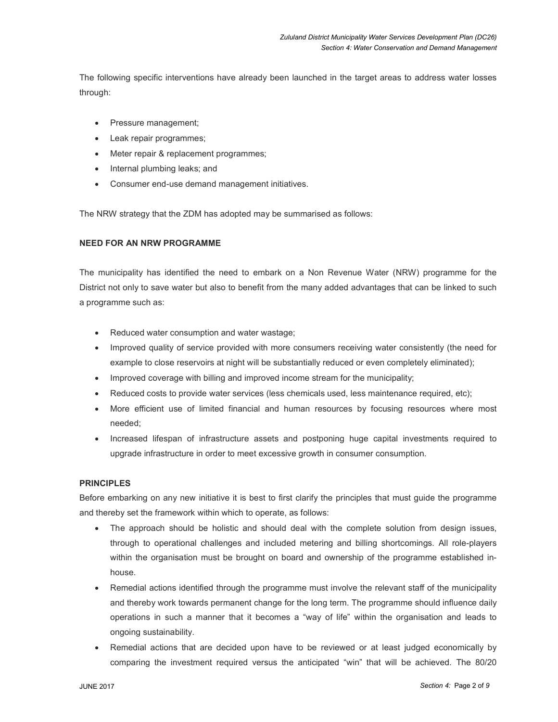The following specific interventions have already been launched in the target areas to address water losses through:

- Pressure management;
- Leak repair programmes;
- Meter repair & replacement programmes;
- Internal plumbing leaks; and
- Consumer end-use demand management initiatives.

The NRW strategy that the ZDM has adopted may be summarised as follows:

### NEED FOR AN NRW PROGRAMME

The municipality has identified the need to embark on a Non Revenue Water (NRW) programme for the District not only to save water but also to benefit from the many added advantages that can be linked to such a programme such as:

- Reduced water consumption and water wastage;
- Improved quality of service provided with more consumers receiving water consistently (the need for example to close reservoirs at night will be substantially reduced or even completely eliminated);
- Improved coverage with billing and improved income stream for the municipality;
- Reduced costs to provide water services (less chemicals used, less maintenance required, etc);
- More efficient use of limited financial and human resources by focusing resources where most needed;
- Increased lifespan of infrastructure assets and postponing huge capital investments required to upgrade infrastructure in order to meet excessive growth in consumer consumption.

#### PRINCIPLES

Before embarking on any new initiative it is best to first clarify the principles that must guide the programme and thereby set the framework within which to operate, as follows:

- The approach should be holistic and should deal with the complete solution from design issues, through to operational challenges and included metering and billing shortcomings. All role-players within the organisation must be brought on board and ownership of the programme established inhouse.
- Remedial actions identified through the programme must involve the relevant staff of the municipality and thereby work towards permanent change for the long term. The programme should influence daily operations in such a manner that it becomes a "way of life" within the organisation and leads to ongoing sustainability.
- Remedial actions that are decided upon have to be reviewed or at least judged economically by comparing the investment required versus the anticipated "win" that will be achieved. The 80/20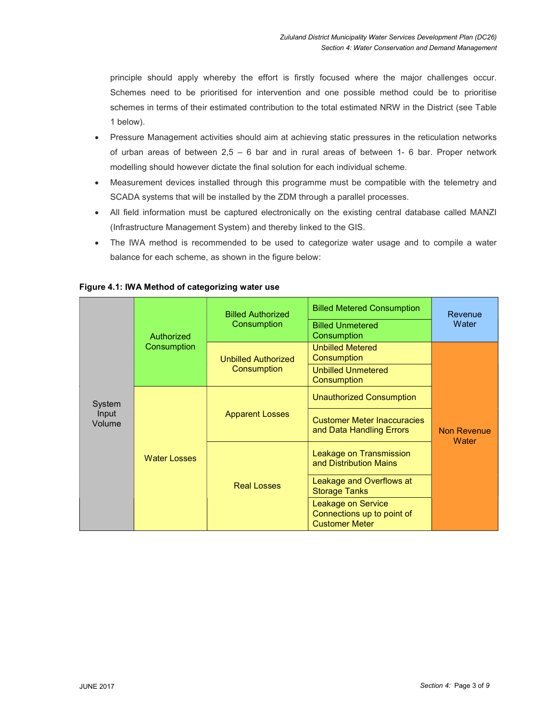principle should apply whereby the effort is firstly focused where the major challenges occur. Schemes need to be prioritised for intervention and one possible method could be to prioritise schemes in terms of their estimated contribution to the total estimated NRW in the District (see Table 1 below).

- Pressure Management activities should aim at achieving static pressures in the reticulation networks of urban areas of between  $2.5 - 6$  bar and in rural areas of between 1- 6 bar. Proper network modelling should however dictate the final solution for each individual scheme.
- Measurement devices installed through this programme must be compatible with the telemetry and SCADA systems that will be installed by the ZDM through a parallel processes.
- All field information must be captured electronically on the existing central database called MANZI (Infrastructure Management System) and thereby linked to the GIS.
- The IWA method is recommended to be used to categorize water usage and to compile a water balance for each scheme, as shown in the figure below:

| System<br>Input<br>Volume | Authorized<br>Consumption | <b>Billed Authorized</b><br>Consumption   | <b>Billed Metered Consumption</b><br><b>Billed Unmetered</b><br>Consumption      | Revenue<br>Water            |
|---------------------------|---------------------------|-------------------------------------------|----------------------------------------------------------------------------------|-----------------------------|
|                           |                           | <b>Unbilled Authorized</b><br>Consumption | <b>Unbilled Metered</b><br>Consumption                                           | <b>Non Revenue</b><br>Water |
|                           |                           |                                           | <b>Unbilled Unmetered</b><br>Consumption                                         |                             |
|                           | <b>Water Losses</b>       | <b>Apparent Losses</b>                    | <b>Unauthorized Consumption</b>                                                  |                             |
|                           |                           |                                           | <b>Customer Meter Inaccuracies</b><br>and Data Handling Errors                   |                             |
|                           |                           | <b>Real Losses</b>                        | Leakage on Transmission<br>and Distribution Mains                                |                             |
|                           |                           |                                           | Leakage and Overflows at<br><b>Storage Tanks</b>                                 |                             |
|                           |                           |                                           | <b>Leakage on Service</b><br>Connections up to point of<br><b>Customer Meter</b> |                             |

#### Figure 4.1: IWA Method of categorizing water use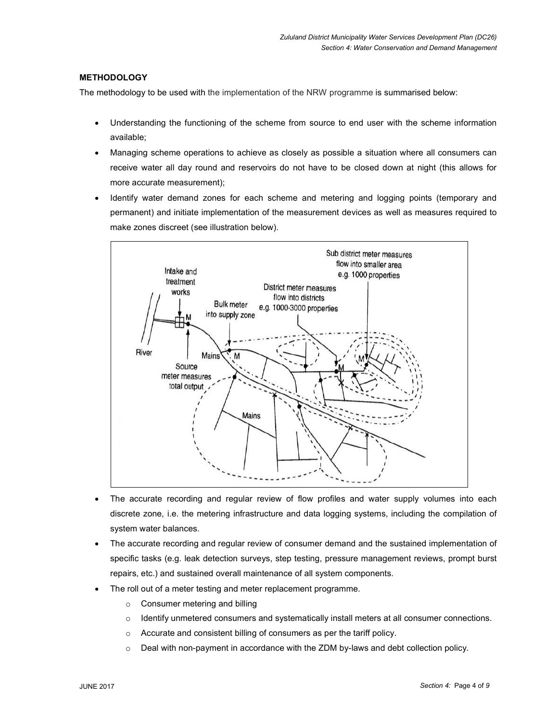## **METHODOLOGY**

The methodology to be used with the implementation of the NRW programme is summarised below:

- Understanding the functioning of the scheme from source to end user with the scheme information available;
- Managing scheme operations to achieve as closely as possible a situation where all consumers can receive water all day round and reservoirs do not have to be closed down at night (this allows for more accurate measurement);
- Identify water demand zones for each scheme and metering and logging points (temporary and permanent) and initiate implementation of the measurement devices as well as measures required to make zones discreet (see illustration below).



- The accurate recording and regular review of flow profiles and water supply volumes into each discrete zone, i.e. the metering infrastructure and data logging systems, including the compilation of system water balances.
- The accurate recording and regular review of consumer demand and the sustained implementation of specific tasks (e.g. leak detection surveys, step testing, pressure management reviews, prompt burst repairs, etc.) and sustained overall maintenance of all system components.
- The roll out of a meter testing and meter replacement programme.
	- o Consumer metering and billing
	- $\circ$  Identify unmetered consumers and systematically install meters at all consumer connections.
	- o Accurate and consistent billing of consumers as per the tariff policy.
	- $\circ$  Deal with non-payment in accordance with the ZDM by-laws and debt collection policy.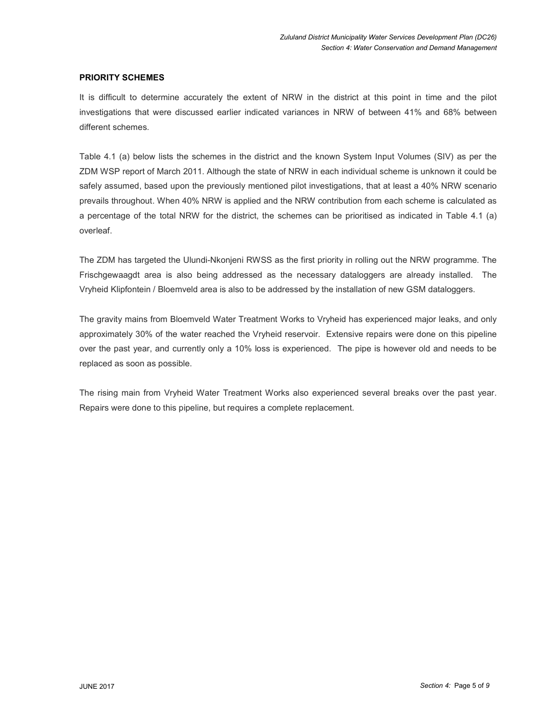### PRIORITY SCHEMES

It is difficult to determine accurately the extent of NRW in the district at this point in time and the pilot investigations that were discussed earlier indicated variances in NRW of between 41% and 68% between different schemes.

Table 4.1 (a) below lists the schemes in the district and the known System Input Volumes (SIV) as per the ZDM WSP report of March 2011. Although the state of NRW in each individual scheme is unknown it could be safely assumed, based upon the previously mentioned pilot investigations, that at least a 40% NRW scenario prevails throughout. When 40% NRW is applied and the NRW contribution from each scheme is calculated as a percentage of the total NRW for the district, the schemes can be prioritised as indicated in Table 4.1 (a) overleaf.

The ZDM has targeted the Ulundi-Nkonjeni RWSS as the first priority in rolling out the NRW programme. The Frischgewaagdt area is also being addressed as the necessary dataloggers are already installed. The Vryheid Klipfontein / Bloemveld area is also to be addressed by the installation of new GSM dataloggers.

The gravity mains from Bloemveld Water Treatment Works to Vryheid has experienced major leaks, and only approximately 30% of the water reached the Vryheid reservoir. Extensive repairs were done on this pipeline over the past year, and currently only a 10% loss is experienced. The pipe is however old and needs to be replaced as soon as possible.

The rising main from Vryheid Water Treatment Works also experienced several breaks over the past year. Repairs were done to this pipeline, but requires a complete replacement.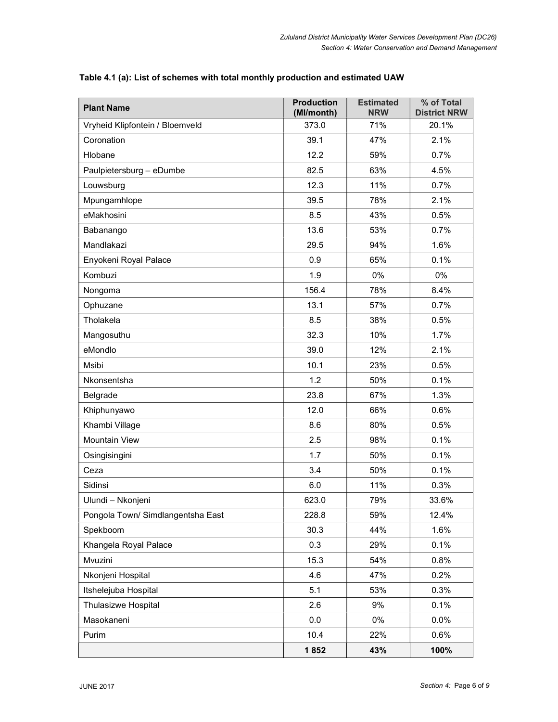| <b>Plant Name</b>                 | <b>Production</b><br>(Ml/month) | <b>Estimated</b><br><b>NRW</b> | % of Total<br><b>District NRW</b> |
|-----------------------------------|---------------------------------|--------------------------------|-----------------------------------|
| Vryheid Klipfontein / Bloemveld   | 373.0                           | 71%                            | 20.1%                             |
| Coronation                        | 39.1                            | 47%                            | 2.1%                              |
| Hlobane                           | 12.2                            | 59%                            | 0.7%                              |
| Paulpietersburg - eDumbe          | 82.5                            | 63%                            | 4.5%                              |
| Louwsburg                         | 12.3                            | 11%                            | 0.7%                              |
| Mpungamhlope                      | 39.5                            | 78%                            | 2.1%                              |
| eMakhosini                        | 8.5                             | 43%                            | 0.5%                              |
| Babanango                         | 13.6                            | 53%                            | 0.7%                              |
| Mandlakazi                        | 29.5                            | 94%                            | 1.6%                              |
| Enyokeni Royal Palace             | 0.9                             | 65%                            | 0.1%                              |
| Kombuzi                           | 1.9                             | 0%                             | 0%                                |
| Nongoma                           | 156.4                           | 78%                            | 8.4%                              |
| Ophuzane                          | 13.1                            | 57%                            | 0.7%                              |
| Tholakela                         | 8.5                             | 38%                            | 0.5%                              |
| Mangosuthu                        | 32.3                            | 10%                            | 1.7%                              |
| eMondlo                           | 39.0                            | 12%                            | 2.1%                              |
| Msibi                             | 10.1                            | 23%                            | 0.5%                              |
| Nkonsentsha                       | 1.2                             | 50%                            | 0.1%                              |
| Belgrade                          | 23.8                            | 67%                            | 1.3%                              |
| Khiphunyawo                       | 12.0                            | 66%                            | 0.6%                              |
| Khambi Village                    | 8.6                             | 80%                            | 0.5%                              |
| Mountain View                     | 2.5                             | 98%                            | 0.1%                              |
| Osingisingini                     | 1.7                             | 50%                            | 0.1%                              |
| Ceza                              | 3.4                             | 50%                            | 0.1%                              |
| Sidinsi                           | 6.0                             | 11%                            | 0.3%                              |
| Ulundi - Nkonjeni                 | 623.0                           | 79%                            | 33.6%                             |
| Pongola Town/ Simdlangentsha East | 228.8                           | 59%                            | 12.4%                             |
| Spekboom                          | 30.3                            | 44%                            | 1.6%                              |
| Khangela Royal Palace             | 0.3                             | 29%                            | 0.1%                              |
| Mvuzini                           | 15.3                            | 54%                            | 0.8%                              |
| Nkonjeni Hospital                 | 4.6                             | 47%                            | 0.2%                              |
| Itshelejuba Hospital              | 5.1                             | 53%                            | 0.3%                              |
| Thulasizwe Hospital               | 2.6                             | 9%                             | 0.1%                              |
| Masokaneni                        | 0.0                             | 0%                             | 0.0%                              |
| Purim                             | 10.4                            | 22%                            | 0.6%                              |
|                                   | 1852                            | 43%                            | 100%                              |

## Table 4.1 (a): List of schemes with total monthly production and estimated UAW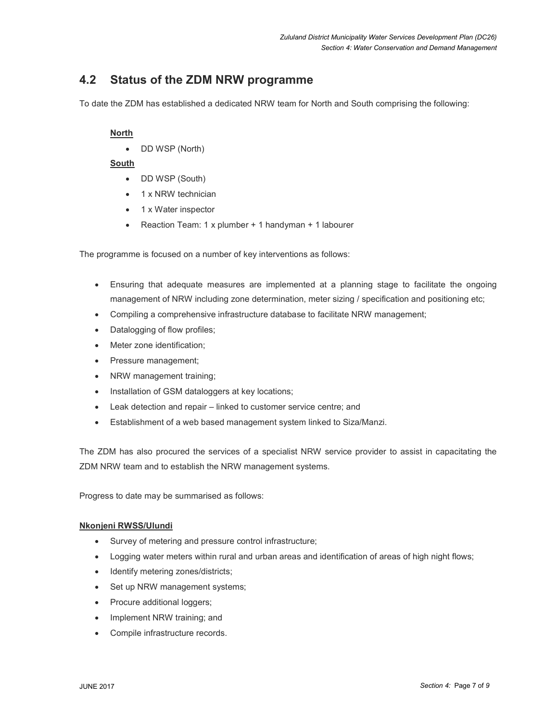# 4.2 Status of the ZDM NRW programme

To date the ZDM has established a dedicated NRW team for North and South comprising the following:

## North

DD WSP (North)

### South

- DD WSP (South)
- 1 x NRW technician
- 1 x Water inspector
- Reaction Team: 1 x plumber + 1 handyman + 1 labourer

The programme is focused on a number of key interventions as follows:

- Ensuring that adequate measures are implemented at a planning stage to facilitate the ongoing management of NRW including zone determination, meter sizing / specification and positioning etc;
- Compiling a comprehensive infrastructure database to facilitate NRW management;
- Datalogging of flow profiles;
- Meter zone identification;
- Pressure management;
- NRW management training;
- Installation of GSM dataloggers at key locations;
- Leak detection and repair linked to customer service centre; and
- Establishment of a web based management system linked to Siza/Manzi.

The ZDM has also procured the services of a specialist NRW service provider to assist in capacitating the ZDM NRW team and to establish the NRW management systems.

Progress to date may be summarised as follows:

### Nkonjeni RWSS/Ulundi

- Survey of metering and pressure control infrastructure;
- Logging water meters within rural and urban areas and identification of areas of high night flows;
- Identify metering zones/districts;
- Set up NRW management systems;
- Procure additional loggers;
- Implement NRW training; and
- Compile infrastructure records.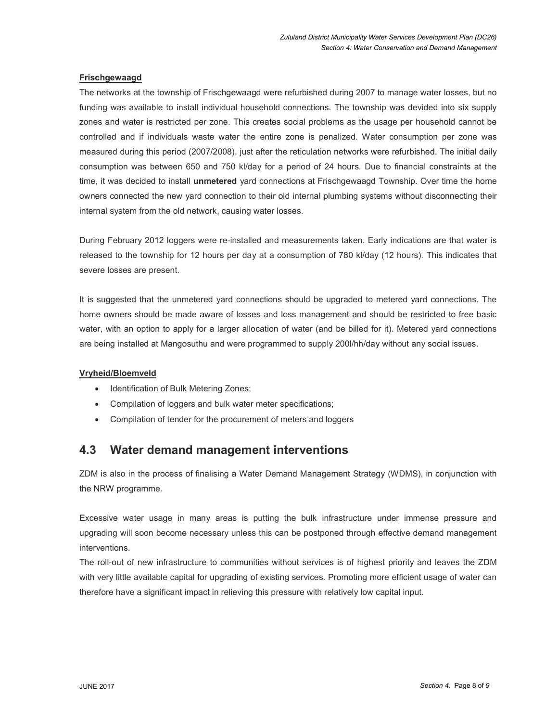### Frischgewaagd

The networks at the township of Frischgewaagd were refurbished during 2007 to manage water losses, but no funding was available to install individual household connections. The township was devided into six supply zones and water is restricted per zone. This creates social problems as the usage per household cannot be controlled and if individuals waste water the entire zone is penalized. Water consumption per zone was measured during this period (2007/2008), just after the reticulation networks were refurbished. The initial daily consumption was between 650 and 750 kl/day for a period of 24 hours. Due to financial constraints at the time, it was decided to install unmetered yard connections at Frischgewaagd Township. Over time the home owners connected the new yard connection to their old internal plumbing systems without disconnecting their internal system from the old network, causing water losses.

During February 2012 loggers were re-installed and measurements taken. Early indications are that water is released to the township for 12 hours per day at a consumption of 780 kl/day (12 hours). This indicates that severe losses are present.

It is suggested that the unmetered yard connections should be upgraded to metered yard connections. The home owners should be made aware of losses and loss management and should be restricted to free basic water, with an option to apply for a larger allocation of water (and be billed for it). Metered yard connections are being installed at Mangosuthu and were programmed to supply 200l/hh/day without any social issues.

#### Vryheid/Bloemveld

- Identification of Bulk Metering Zones;
- Compilation of loggers and bulk water meter specifications;
- Compilation of tender for the procurement of meters and loggers

# 4.3 Water demand management interventions

ZDM is also in the process of finalising a Water Demand Management Strategy (WDMS), in conjunction with the NRW programme.

Excessive water usage in many areas is putting the bulk infrastructure under immense pressure and upgrading will soon become necessary unless this can be postponed through effective demand management interventions.

The roll-out of new infrastructure to communities without services is of highest priority and leaves the ZDM with very little available capital for upgrading of existing services. Promoting more efficient usage of water can therefore have a significant impact in relieving this pressure with relatively low capital input.